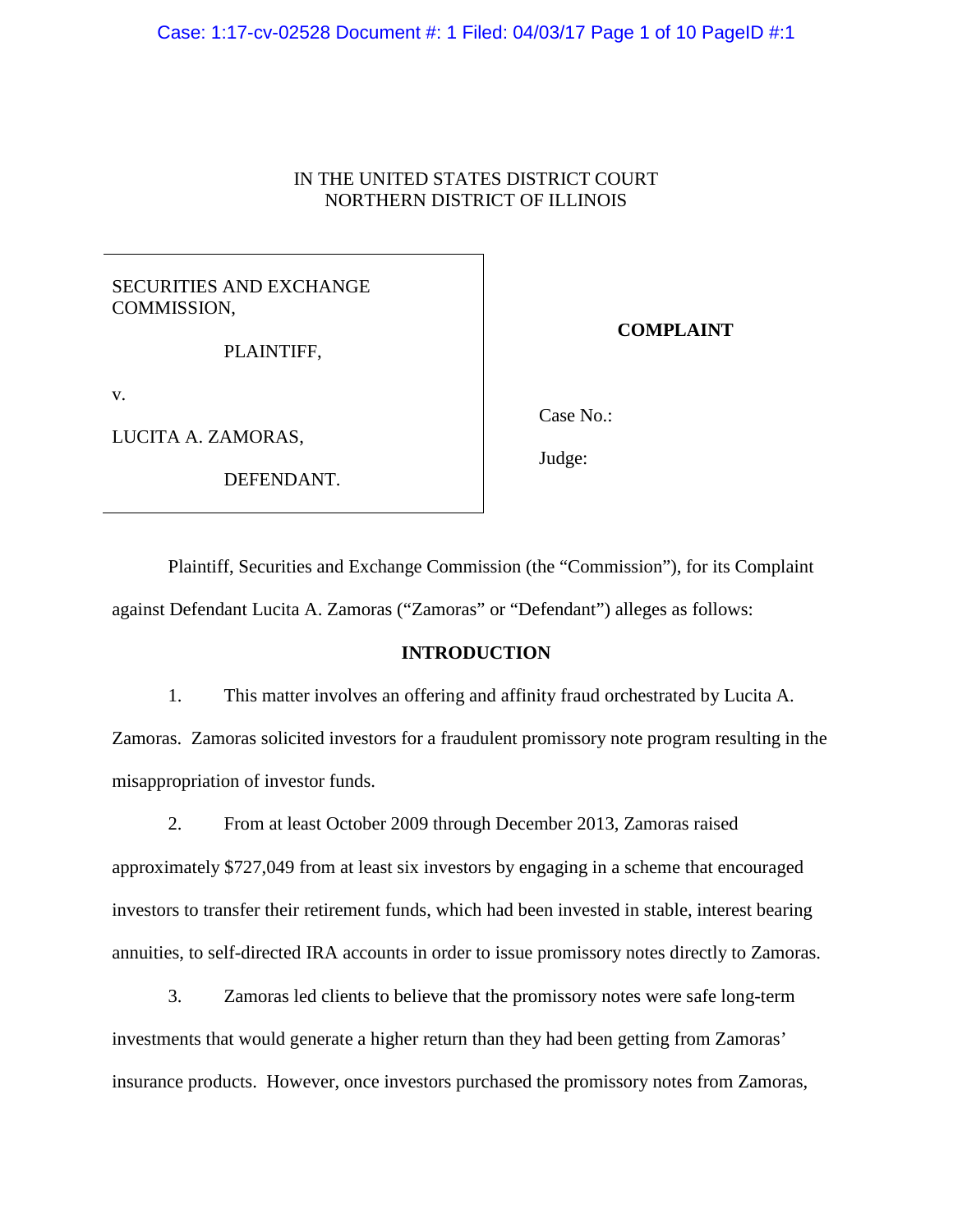## IN THE UNITED STATES DISTRICT COURT NORTHERN DISTRICT OF ILLINOIS

## SECURITIES AND EXCHANGE COMMISSION,

PLAINTIFF,

v.

LUCITA A. ZAMORAS,

DEFENDANT.

**COMPLAINT** 

Case No.:

Judge:

Plaintiff, Securities and Exchange Commission (the "Commission"), for its Complaint against Defendant Lucita A. Zamoras ("Zamoras" or "Defendant") alleges as follows:

## **INTRODUCTION**

1. This matter involves an offering and affinity fraud orchestrated by Lucita A.

Zamoras. Zamoras solicited investors for a fraudulent promissory note program resulting in the misappropriation of investor funds.

 approximately \$727,049 from at least six investors by engaging in a scheme that encouraged annuities, to self-directed IRA accounts in order to issue promissory notes directly to Zamoras. 2. From at least October 2009 through December 2013, Zamoras raised investors to transfer their retirement funds, which had been invested in stable, interest bearing

 3. Zamoras led clients to believe that the promissory notes were safe long-term insurance products. However, once investors purchased the promissory notes from Zamoras, investments that would generate a higher return than they had been getting from Zamoras'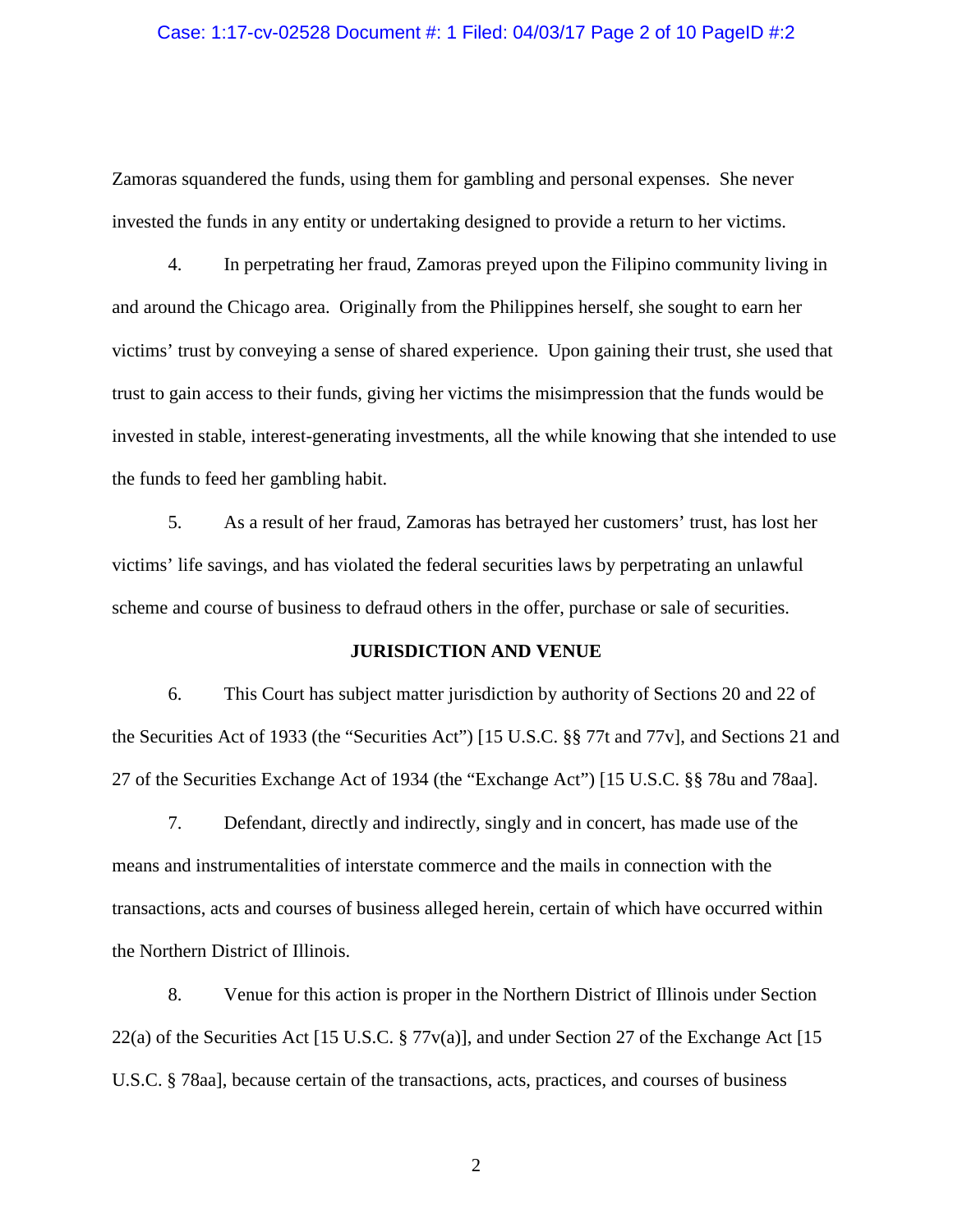#### Case: 1:17-cv-02528 Document #: 1 Filed: 04/03/17 Page 2 of 10 PageID #:2

 Zamoras squandered the funds, using them for gambling and personal expenses. She never invested the funds in any entity or undertaking designed to provide a return to her victims.

4. In perpetrating her fraud, Zamoras preyed upon the Filipino community living in and around the Chicago area. Originally from the Philippines herself, she sought to earn her victims' trust by conveying a sense of shared experience. Upon gaining their trust, she used that trust to gain access to their funds, giving her victims the misimpression that the funds would be invested in stable, interest-generating investments, all the while knowing that she intended to use the funds to feed her gambling habit.

5. As a result of her fraud, Zamoras has betrayed her customers' trust, has lost her victims' life savings, and has violated the federal securities laws by perpetrating an unlawful scheme and course of business to defraud others in the offer, purchase or sale of securities.

## **JURISDICTION AND VENUE**

6. This Court has subject matter jurisdiction by authority of Sections 20 and 22 of the Securities Act of 1933 (the "Securities Act") [15 U.S.C. §§ 77t and 77v], and Sections 21 and 27 of the Securities Exchange Act of 1934 (the "Exchange Act") [15 U.S.C. §§ 78u and 78aa].

7. Defendant, directly and indirectly, singly and in concert, has made use of the means and instrumentalities of interstate commerce and the mails in connection with the transactions, acts and courses of business alleged herein, certain of which have occurred within the Northern District of Illinois.

 8. Venue for this action is proper in the Northern District of Illinois under Section 22(a) of the Securities Act [15 U.S.C. § 77v(a)], and under Section 27 of the Exchange Act [15 U.S.C. § 78aa], because certain of the transactions, acts, practices, and courses of business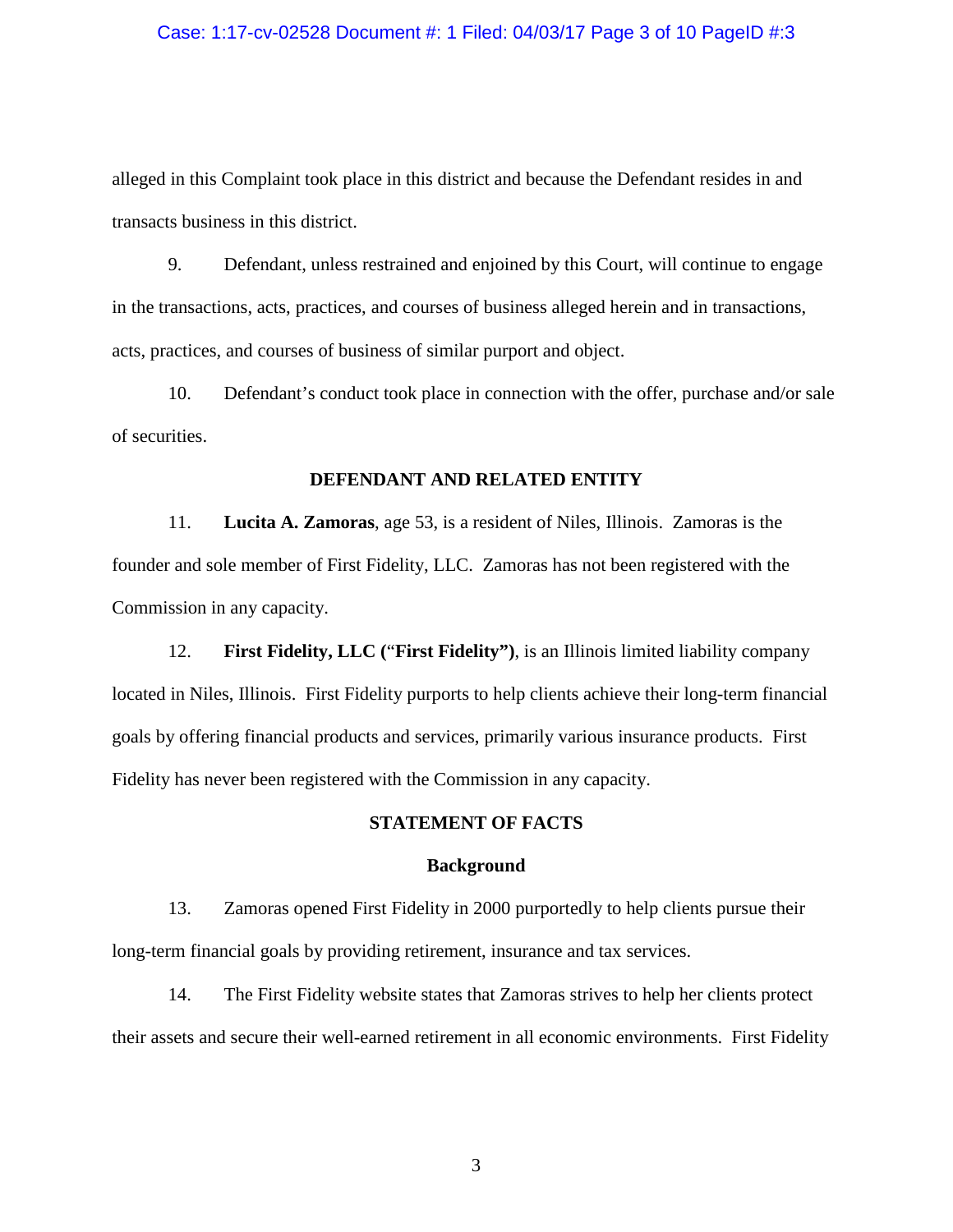#### Case: 1:17-cv-02528 Document #: 1 Filed: 04/03/17 Page 3 of 10 PageID #:3

alleged in this Complaint took place in this district and because the Defendant resides in and transacts business in this district.

 in the transactions, acts, practices, and courses of business alleged herein and in transactions, 9. Defendant, unless restrained and enjoined by this Court, will continue to engage acts, practices, and courses of business of similar purport and object.

10. Defendant's conduct took place in connection with the offer, purchase and/or sale of securities.

## **DEFENDANT AND RELATED ENTITY**

 11. **Lucita A. Zamoras**, age 53, is a resident of Niles, Illinois. Zamoras is the founder and sole member of First Fidelity, LLC. Zamoras has not been registered with the Commission in any capacity.

 12. **First Fidelity, LLC (**"**First Fidelity")**, is an Illinois limited liability company Fidelity has never been registered with the Commission in any capacity. located in Niles, Illinois. First Fidelity purports to help clients achieve their long-term financial goals by offering financial products and services, primarily various insurance products. First

## **STATEMENT OF FACTS**

#### **Background**

 long-term financial goals by providing retirement, insurance and tax services. 13. Zamoras opened First Fidelity in 2000 purportedly to help clients pursue their

14. The First Fidelity website states that Zamoras strives to help her clients protect their assets and secure their well-earned retirement in all economic environments. First Fidelity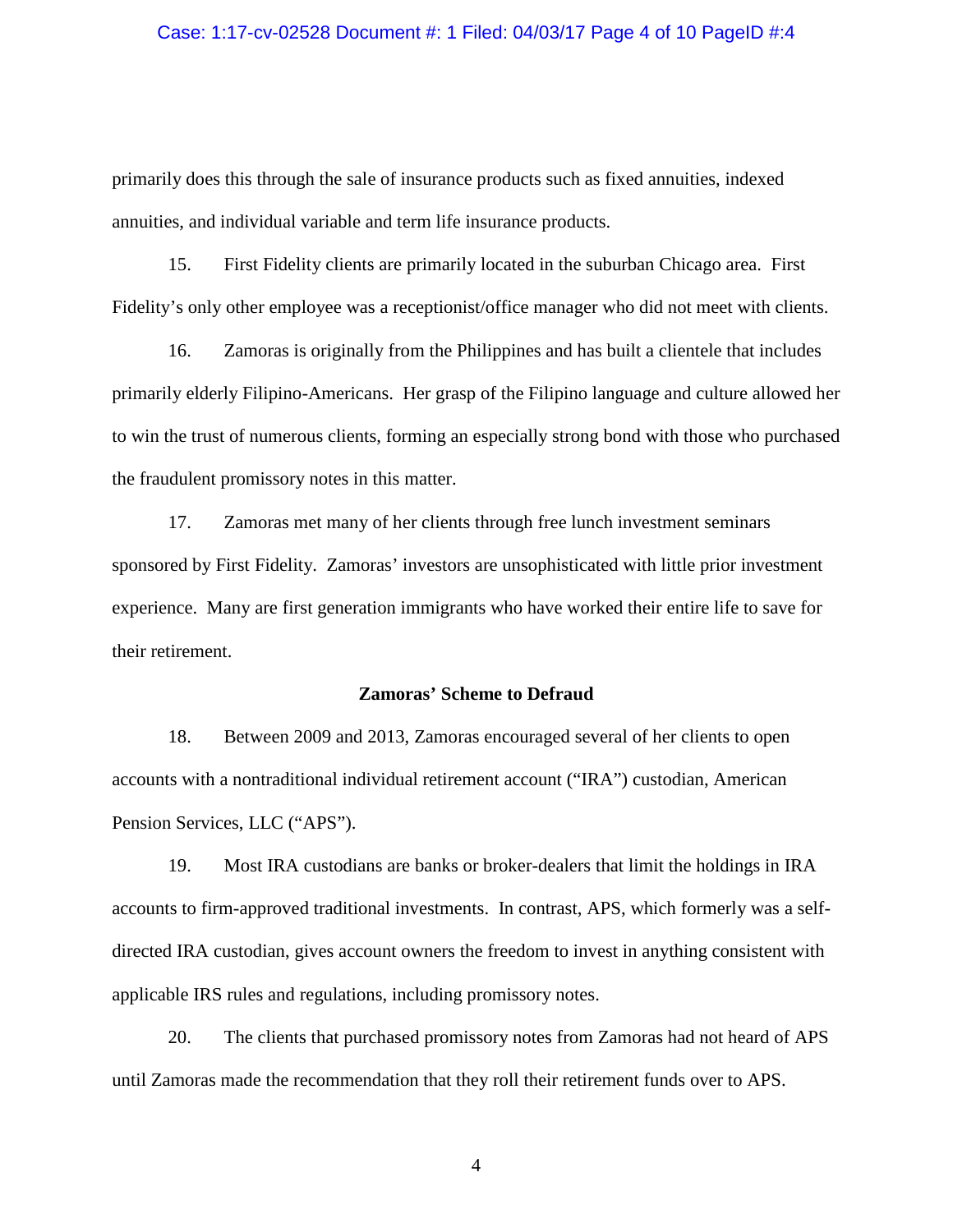#### Case: 1:17-cv-02528 Document #: 1 Filed: 04/03/17 Page 4 of 10 PageID #:4

primarily does this through the sale of insurance products such as fixed annuities, indexed annuities, and individual variable and term life insurance products.

 15. First Fidelity clients are primarily located in the suburban Chicago area. First Fidelity's only other employee was a receptionist/office manager who did not meet with clients.

 primarily elderly Filipino-Americans. Her grasp of the Filipino language and culture allowed her 16. Zamoras is originally from the Philippines and has built a clientele that includes to win the trust of numerous clients, forming an especially strong bond with those who purchased the fraudulent promissory notes in this matter.

 sponsored by First Fidelity. Zamoras' investors are unsophisticated with little prior investment their retirement. 17. Zamoras met many of her clients through free lunch investment seminars experience. Many are first generation immigrants who have worked their entire life to save for

## **Zamoras' Scheme to Defraud**

18. Between 2009 and 2013, Zamoras encouraged several of her clients to open accounts with a nontraditional individual retirement account ("IRA") custodian, American Pension Services, LLC ("APS").

 19. Most IRA custodians are banks or broker-dealers that limit the holdings in IRA directed IRA custodian, gives account owners the freedom to invest in anything consistent with accounts to firm-approved traditional investments. In contrast, APS, which formerly was a selfapplicable IRS rules and regulations, including promissory notes.

 20. The clients that purchased promissory notes from Zamoras had not heard of APS until Zamoras made the recommendation that they roll their retirement funds over to APS. 4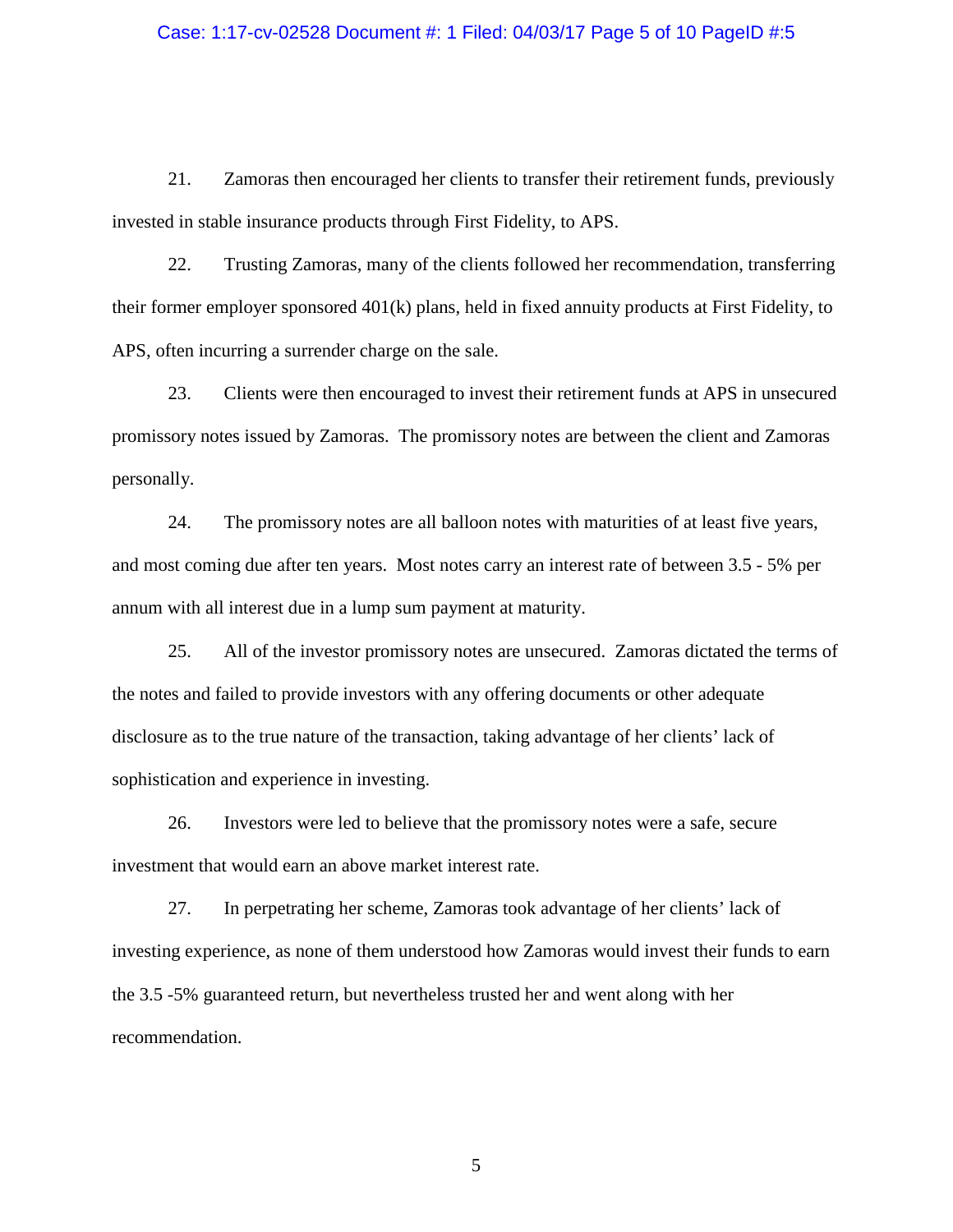#### Case: 1:17-cv-02528 Document #: 1 Filed: 04/03/17 Page 5 of 10 PageID #:5

 invested in stable insurance products through First Fidelity, to APS. 21. Zamoras then encouraged her clients to transfer their retirement funds, previously

22. Trusting Zamoras, many of the clients followed her recommendation, transferring their former employer sponsored 401(k) plans, held in fixed annuity products at First Fidelity, to APS, often incurring a surrender charge on the sale.

 promissory notes issued by Zamoras. The promissory notes are between the client and Zamoras 23. Clients were then encouraged to invest their retirement funds at APS in unsecured personally.

 24. The promissory notes are all balloon notes with maturities of at least five years, and most coming due after ten years. Most notes carry an interest rate of between 3.5 - 5% per annum with all interest due in a lump sum payment at maturity.

 25. All of the investor promissory notes are unsecured. Zamoras dictated the terms of the notes and failed to provide investors with any offering documents or other adequate disclosure as to the true nature of the transaction, taking advantage of her clients' lack of sophistication and experience in investing.

 26. Investors were led to believe that the promissory notes were a safe, secure investment that would earn an above market interest rate.

27. In perpetrating her scheme, Zamoras took advantage of her clients' lack of investing experience, as none of them understood how Zamoras would invest their funds to earn the 3.5 -5% guaranteed return, but nevertheless trusted her and went along with her recommendation.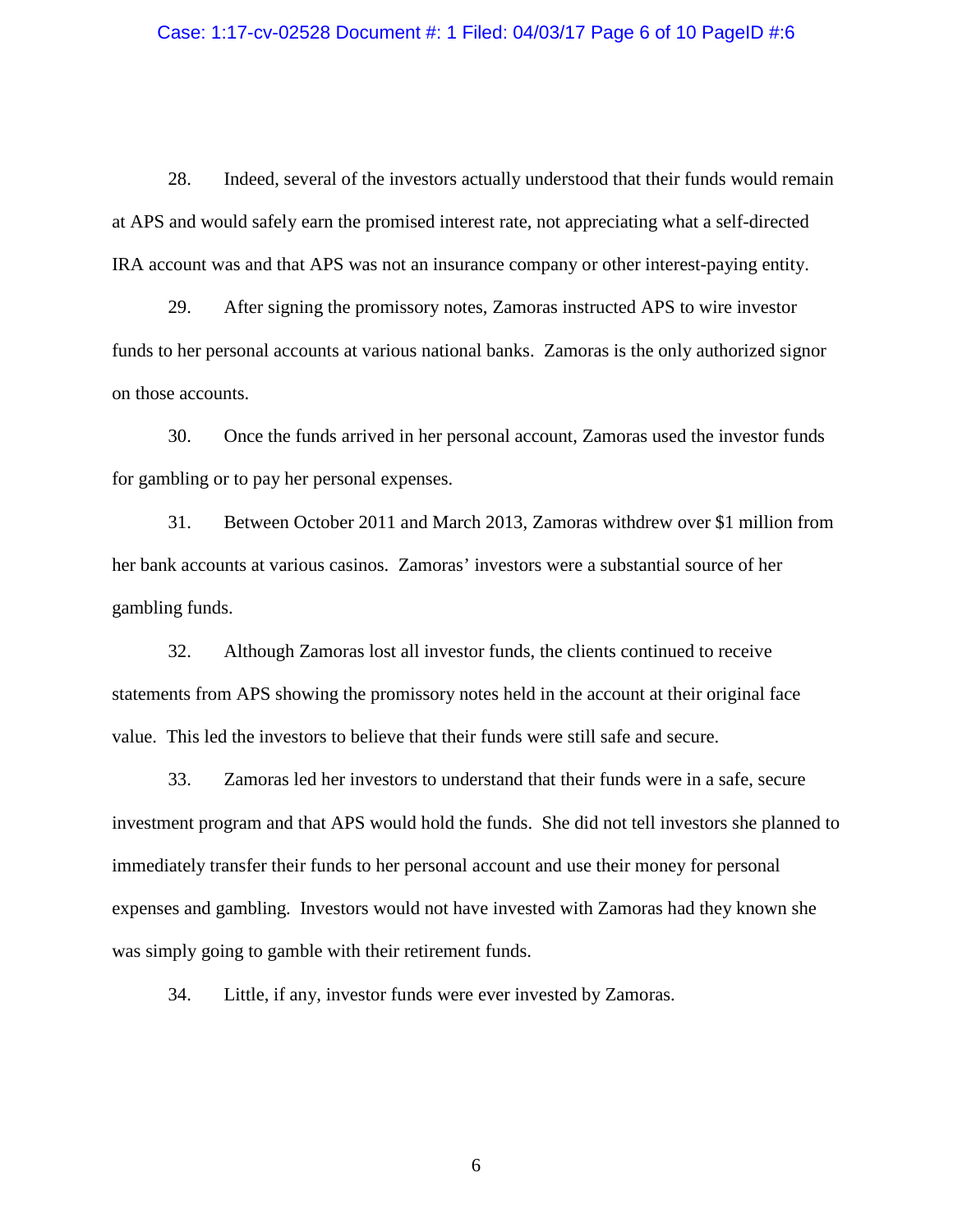#### Case: 1:17-cv-02528 Document #: 1 Filed: 04/03/17 Page 6 of 10 PageID #:6

 IRA account was and that APS was not an insurance company or other interest-paying entity. 29. After signing the promissory notes, Zamoras instructed APS to wire investor 28. Indeed, several of the investors actually understood that their funds would remain at APS and would safely earn the promised interest rate, not appreciating what a self-directed

 funds to her personal accounts at various national banks. Zamoras is the only authorized signor on those accounts.

30. Once the funds arrived in her personal account, Zamoras used the investor funds for gambling or to pay her personal expenses.

 31. Between October 2011 and March 2013, Zamoras withdrew over \$1 million from her bank accounts at various casinos. Zamoras' investors were a substantial source of her gambling funds.

32. Although Zamoras lost all investor funds, the clients continued to receive statements from APS showing the promissory notes held in the account at their original face value. This led the investors to believe that their funds were still safe and secure.

 immediately transfer their funds to her personal account and use their money for personal expenses and gambling. Investors would not have invested with Zamoras had they known she was simply going to gamble with their retirement funds. was simply going to gamble with their retirement funds.<br>34. Little, if any, investor funds were ever invested by Zamoras. 33. Zamoras led her investors to understand that their funds were in a safe, secure investment program and that APS would hold the funds. She did not tell investors she planned to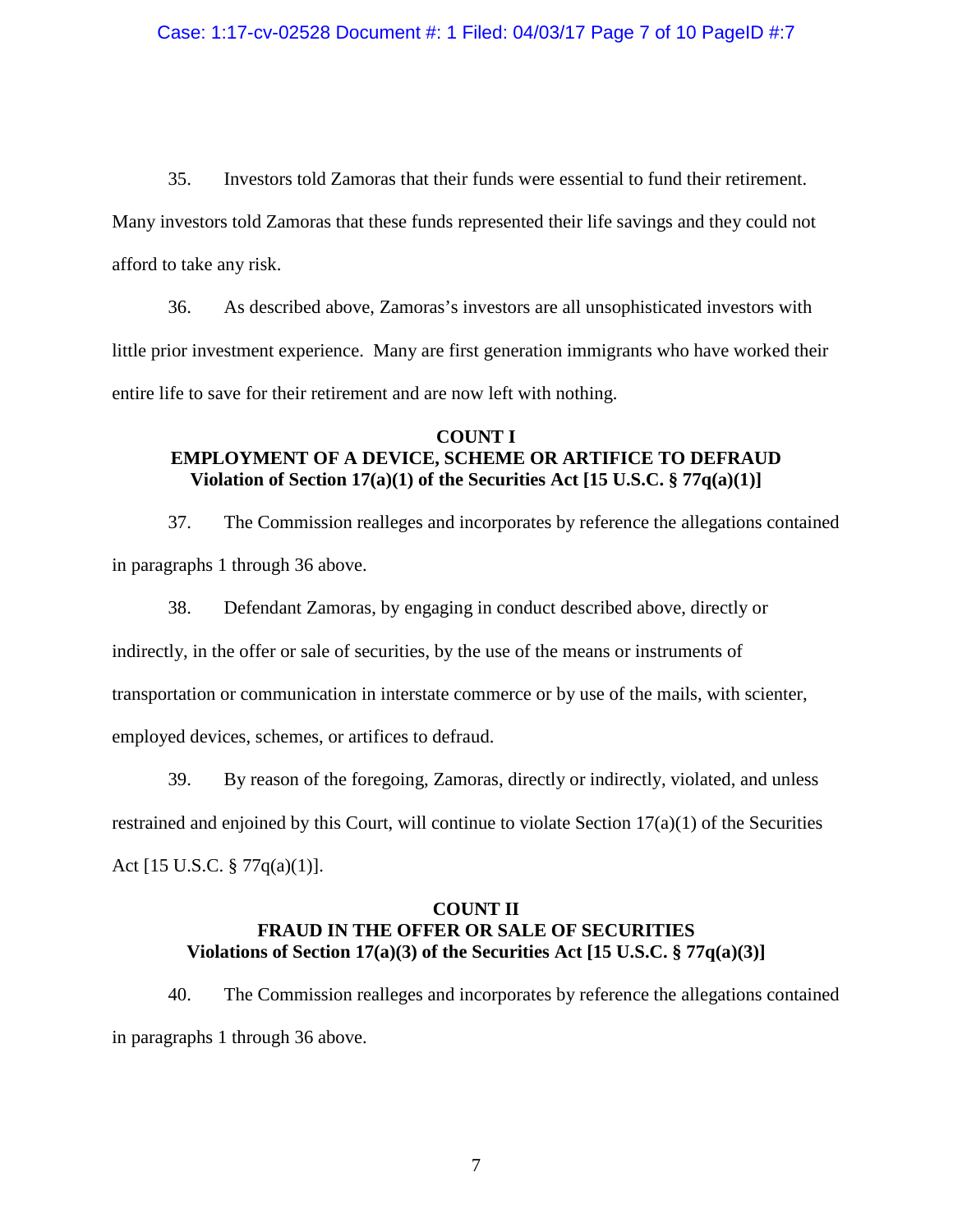35. Investors told Zamoras that their funds were essential to fund their retirement.

Many investors told Zamoras that these funds represented their life savings and they could not afford to take any risk.

 entire life to save for their retirement and are now left with nothing. 36. As described above, Zamoras's investors are all unsophisticated investors with little prior investment experience. Many are first generation immigrants who have worked their

## **COUNT I EMPLOYMENT OF A DEVICE, SCHEME OR ARTIFICE TO DEFRAUD Violation of Section 17(a)(1) of the Securities Act [15 U.S.C.**  $\S 77q(a)(1)$ **]**

 in paragraphs 1 through 36 above. 37. The Commission realleges and incorporates by reference the allegations contained

38. Defendant Zamoras, by engaging in conduct described above, directly or

indirectly, in the offer or sale of securities, by the use of the means or instruments of

transportation or communication in interstate commerce or by use of the mails, with scienter,

employed devices, schemes, or artifices to defraud.

39. By reason of the foregoing, Zamoras, directly or indirectly, violated, and unless

restrained and enjoined by this Court, will continue to violate Section 17(a)(1) of the Securities

Act [15 U.S.C. § 77q(a)(1)].

## **COUNT II FRAUD IN THE OFFER OR SALE OF SECURITIES Violations of Section 17(a)(3) of the Securities Act [15 U.S.C. § 77q(a)(3)]**

 in paragraphs 1 through 36 above. 40. The Commission realleges and incorporates by reference the allegations contained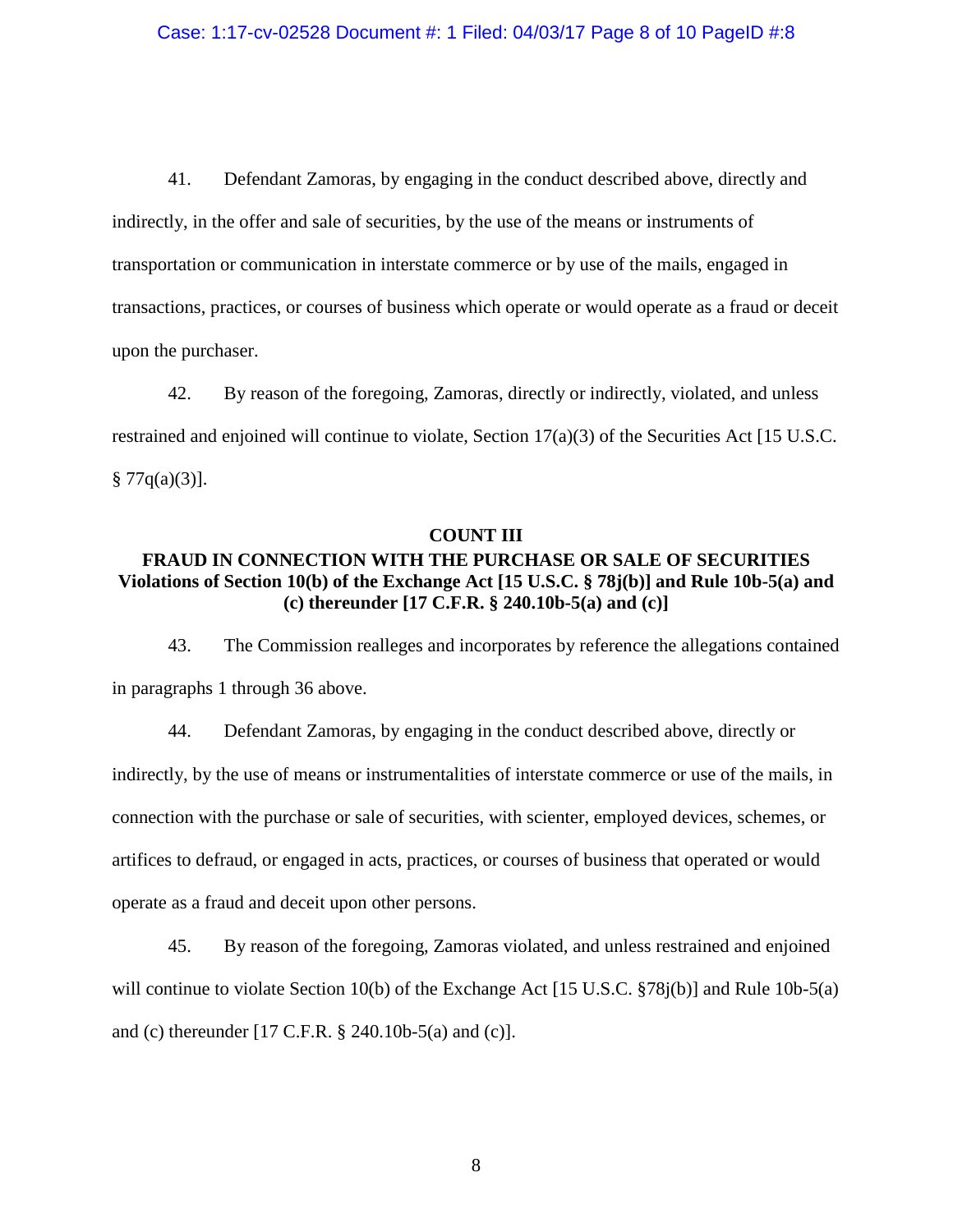41. Defendant Zamoras, by engaging in the conduct described above, directly and indirectly, in the offer and sale of securities, by the use of the means or instruments of transportation or communication in interstate commerce or by use of the mails, engaged in transactions, practices, or courses of business which operate or would operate as a fraud or deceit upon the purchaser.

42. By reason of the foregoing, Zamoras, directly or indirectly, violated, and unless restrained and enjoined will continue to violate, Section 17(a)(3) of the Securities Act [15 U.S.C.  $§ 77q(a)(3)$ ].

## **COUNT III**

## **Violations of Section 10(b) of the Exchange Act [15 U.S.C. § 78j(b)] and Rule 10b-5(a) and FRAUD IN CONNECTION WITH THE PURCHASE OR SALE OF SECURITIES (c) thereunder [17 C.F.R. § 240.10b-5(a) and (c)]**

 in paragraphs 1 through 36 above. 43. The Commission realleges and incorporates by reference the allegations contained

 44. Defendant Zamoras, by engaging in the conduct described above, directly or indirectly, by the use of means or instrumentalities of interstate commerce or use of the mails, in connection with the purchase or sale of securities, with scienter, employed devices, schemes, or artifices to defraud, or engaged in acts, practices, or courses of business that operated or would operate as a fraud and deceit upon other persons.

 will continue to violate Section 10(b) of the Exchange Act [15 U.S.C. §78j(b)] and Rule 10b-5(a) 45. By reason of the foregoing, Zamoras violated, and unless restrained and enjoined and (c) thereunder [17 C.F.R. § 240.10b-5(a) and (c)].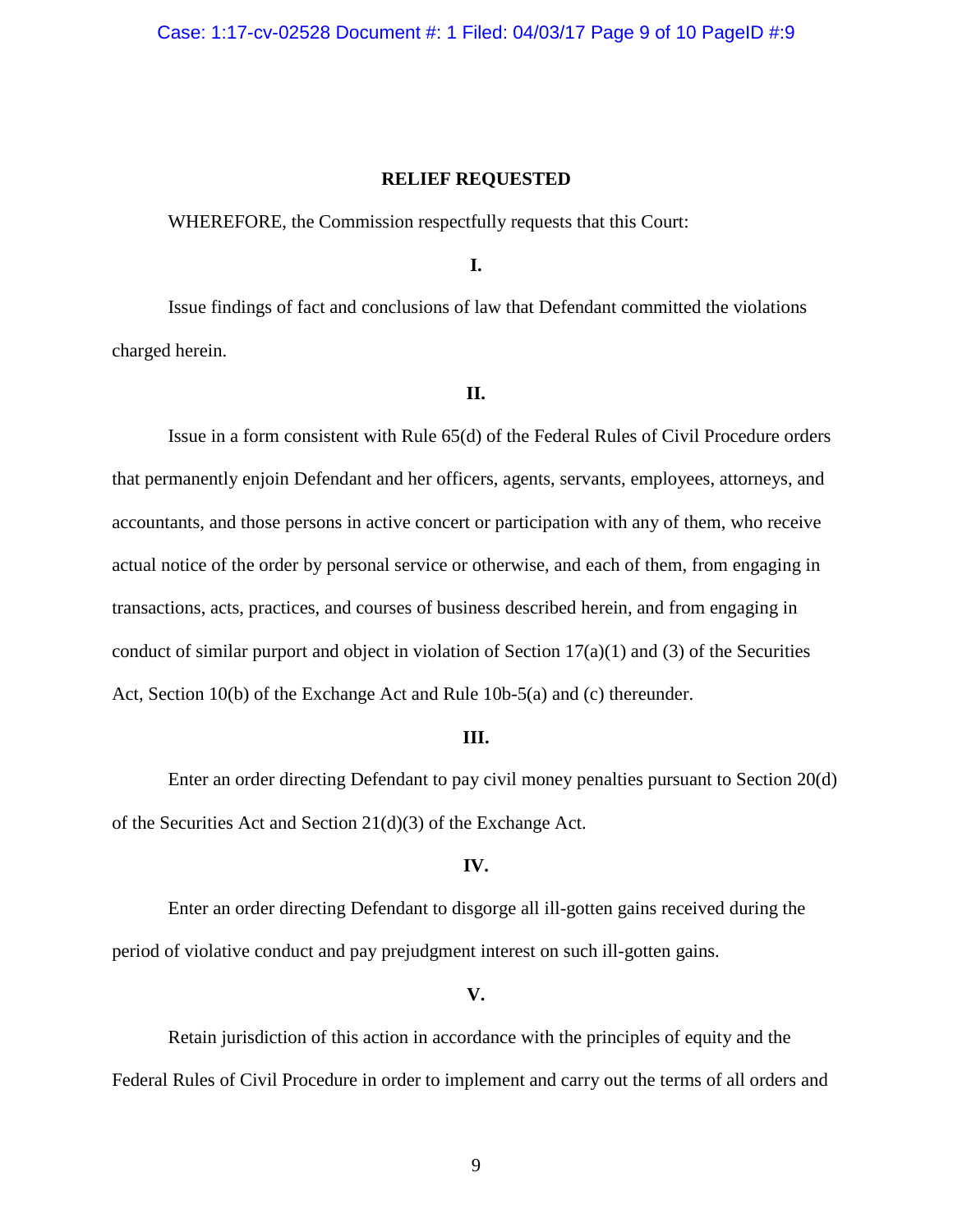#### Case: 1:17-cv-02528 Document #: 1 Filed: 04/03/17 Page 9 of 10 PageID #:9

#### **RELIEF REQUESTED**

WHEREFORE, the Commission respectfully requests that this Court:

**I.** 

Issue findings of fact and conclusions of law that Defendant committed the violations charged herein.

## **II.**

 that permanently enjoin Defendant and her officers, agents, servants, employees, attorneys, and conduct of similar purport and object in violation of Section 17(a)(1) and (3) of the Securities Act, Section 10(b) of the Exchange Act and Rule 10b-5(a) and (c) thereunder. Issue in a form consistent with Rule 65(d) of the Federal Rules of Civil Procedure orders accountants, and those persons in active concert or participation with any of them, who receive actual notice of the order by personal service or otherwise, and each of them, from engaging in transactions, acts, practices, and courses of business described herein, and from engaging in

#### **III.**

Enter an order directing Defendant to pay civil money penalties pursuant to Section 20(d) of the Securities Act and Section 21(d)(3) of the Exchange Act.

#### **IV.**

Enter an order directing Defendant to disgorge all ill-gotten gains received during the period of violative conduct and pay prejudgment interest on such ill-gotten gains.

#### **V.**

Retain jurisdiction of this action in accordance with the principles of equity and the Federal Rules of Civil Procedure in order to implement and carry out the terms of all orders and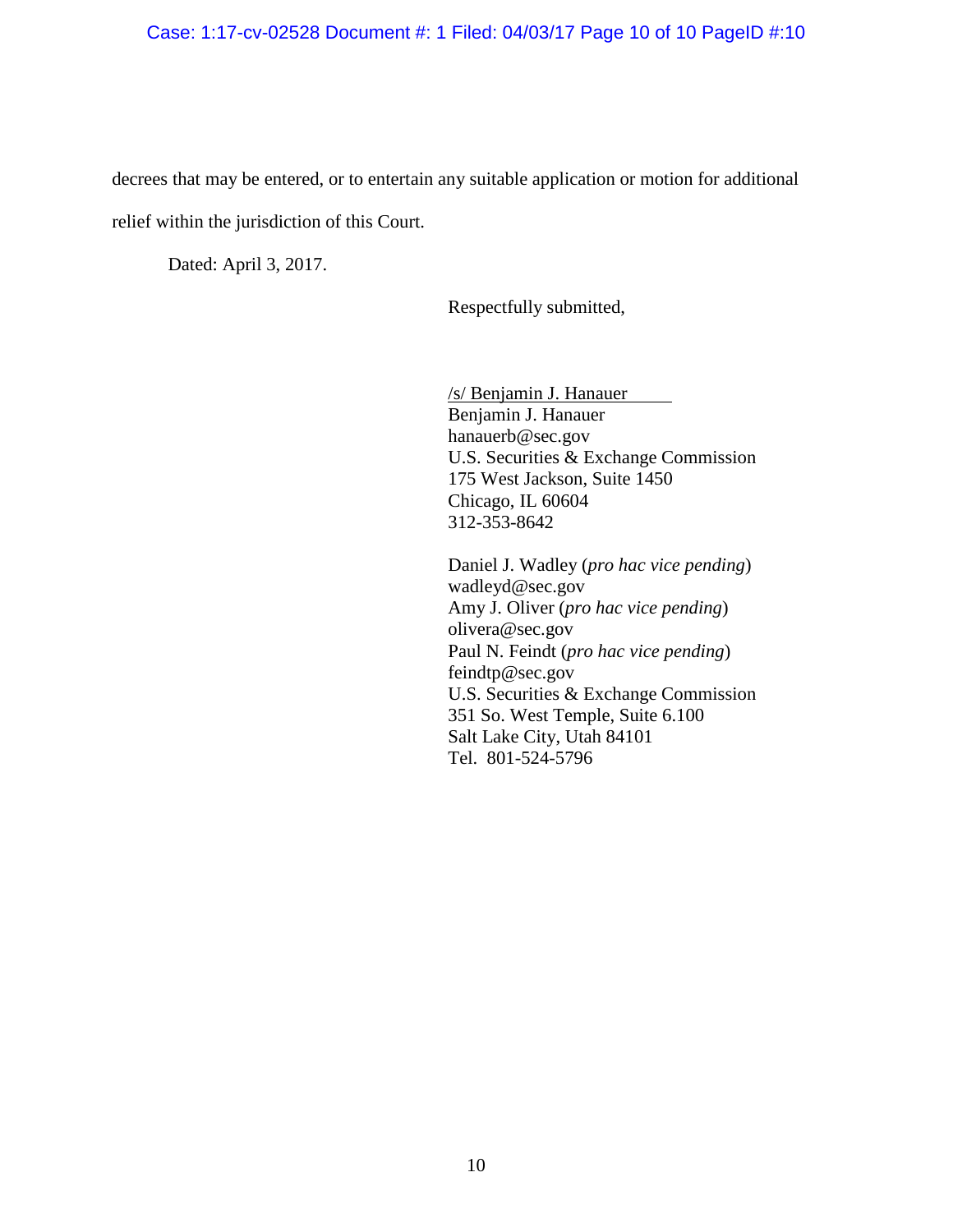#### Case: 1:17-cv-02528 Document #: 1 Filed: 04/03/17 Page 10 of 10 PageID #:10

decrees that may be entered, or to entertain any suitable application or motion for additional relief within the jurisdiction of this Court.

Dated: April 3, 2017.

Respectfully submitted,

 /s/ Benjamin J. Hanauer hanauerb@sec.gov 175 West Jackson, Suite 1450 Benjamin J. Hanauer U.S. Securities & Exchange Commission Chicago, IL 60604 312-353-8642

 olivera@sec.gov Daniel J. Wadley (*pro hac vice pending*) wadleyd@sec.gov Amy J. Oliver (*pro hac vice pending*) Paul N. Feindt (*pro hac vice pending*) feindtp@sec.gov U.S. Securities & Exchange Commission 351 So. West Temple, Suite 6.100 Salt Lake City, Utah 84101 Tel. 801-524-5796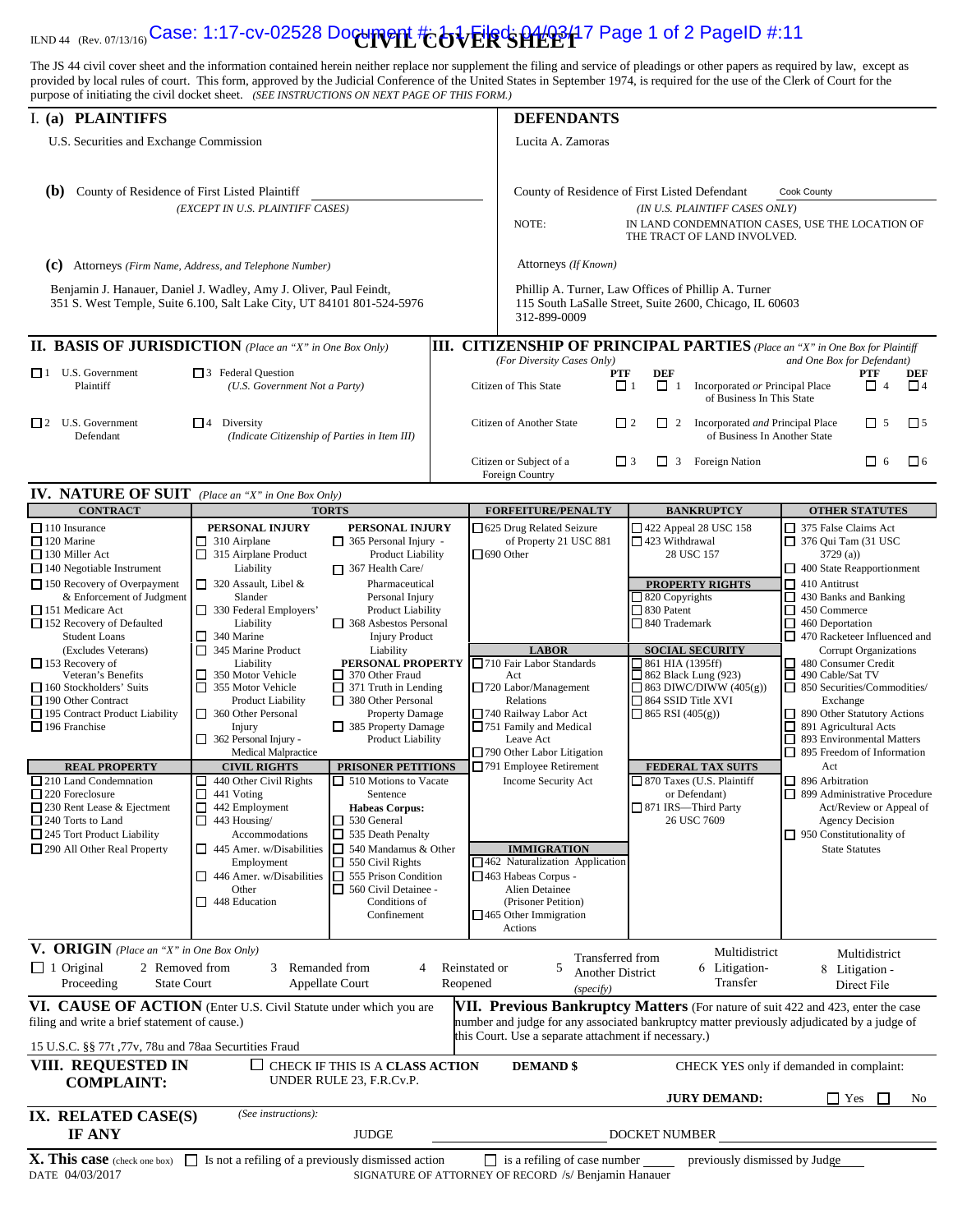# ILND 44 (Rev. 07/13/16) Case: 1:17-cv-02528 Document # COVERS PARE 17 Page 1 of 2 PageID #:11

 purpose of initiating the civil docket sheet. *(SEE INSTRUCTIONS ON NEXT PAGE OF THIS FORM.)*  The JS 44 civil cover sheet and the information contained herein neither replace nor supplement the filing and service of pleadings or other papers as required by law, except as provided by local rules of court. This form, approved by the Judicial Conference of the United States in September 1974, is required for the use of the Clerk of Court for the

| I. (a) PLAINTIFFS                                                                                                                                                                                                                                                                                                                                                                                                                                                                                                                                                                                                                          |                                                                                                                                                                                                                                                                                                                                                                                                                                                                                                                                                                                                                                                               |                                                                                                                                                                                                                                                                                                                                                                                                                                                                                                                                                                                                                                                                                  |                                                                                                                                                            | <b>DEFENDANTS</b>                                                                                                                                                                                                                                                                                                                                                                                                                                                                               |                                                                                                                                                                                                                                                                                                                                                                                                                                          |                                                                                                                                                                                                                                                                                                                                                                                                                                                                                                                                                                                                                                                                                              |  |
|--------------------------------------------------------------------------------------------------------------------------------------------------------------------------------------------------------------------------------------------------------------------------------------------------------------------------------------------------------------------------------------------------------------------------------------------------------------------------------------------------------------------------------------------------------------------------------------------------------------------------------------------|---------------------------------------------------------------------------------------------------------------------------------------------------------------------------------------------------------------------------------------------------------------------------------------------------------------------------------------------------------------------------------------------------------------------------------------------------------------------------------------------------------------------------------------------------------------------------------------------------------------------------------------------------------------|----------------------------------------------------------------------------------------------------------------------------------------------------------------------------------------------------------------------------------------------------------------------------------------------------------------------------------------------------------------------------------------------------------------------------------------------------------------------------------------------------------------------------------------------------------------------------------------------------------------------------------------------------------------------------------|------------------------------------------------------------------------------------------------------------------------------------------------------------|-------------------------------------------------------------------------------------------------------------------------------------------------------------------------------------------------------------------------------------------------------------------------------------------------------------------------------------------------------------------------------------------------------------------------------------------------------------------------------------------------|------------------------------------------------------------------------------------------------------------------------------------------------------------------------------------------------------------------------------------------------------------------------------------------------------------------------------------------------------------------------------------------------------------------------------------------|----------------------------------------------------------------------------------------------------------------------------------------------------------------------------------------------------------------------------------------------------------------------------------------------------------------------------------------------------------------------------------------------------------------------------------------------------------------------------------------------------------------------------------------------------------------------------------------------------------------------------------------------------------------------------------------------|--|
| U.S. Securities and Exchange Commission                                                                                                                                                                                                                                                                                                                                                                                                                                                                                                                                                                                                    |                                                                                                                                                                                                                                                                                                                                                                                                                                                                                                                                                                                                                                                               |                                                                                                                                                                                                                                                                                                                                                                                                                                                                                                                                                                                                                                                                                  |                                                                                                                                                            | Lucita A. Zamoras                                                                                                                                                                                                                                                                                                                                                                                                                                                                               |                                                                                                                                                                                                                                                                                                                                                                                                                                          |                                                                                                                                                                                                                                                                                                                                                                                                                                                                                                                                                                                                                                                                                              |  |
| County of Residence of First Listed Plaintiff<br>(b)<br>(EXCEPT IN U.S. PLAINTIFF CASES)                                                                                                                                                                                                                                                                                                                                                                                                                                                                                                                                                   |                                                                                                                                                                                                                                                                                                                                                                                                                                                                                                                                                                                                                                                               |                                                                                                                                                                                                                                                                                                                                                                                                                                                                                                                                                                                                                                                                                  |                                                                                                                                                            | NOTE:                                                                                                                                                                                                                                                                                                                                                                                                                                                                                           | County of Residence of First Listed Defendant<br>Cook County<br>(IN U.S. PLAINTIFF CASES ONLY)<br>IN LAND CONDEMNATION CASES, USE THE LOCATION OF<br>THE TRACT OF LAND INVOLVED.                                                                                                                                                                                                                                                         |                                                                                                                                                                                                                                                                                                                                                                                                                                                                                                                                                                                                                                                                                              |  |
| (C) Attorneys (Firm Name, Address, and Telephone Number)                                                                                                                                                                                                                                                                                                                                                                                                                                                                                                                                                                                   |                                                                                                                                                                                                                                                                                                                                                                                                                                                                                                                                                                                                                                                               |                                                                                                                                                                                                                                                                                                                                                                                                                                                                                                                                                                                                                                                                                  |                                                                                                                                                            | Attorneys (If Known)                                                                                                                                                                                                                                                                                                                                                                                                                                                                            |                                                                                                                                                                                                                                                                                                                                                                                                                                          |                                                                                                                                                                                                                                                                                                                                                                                                                                                                                                                                                                                                                                                                                              |  |
| Benjamin J. Hanauer, Daniel J. Wadley, Amy J. Oliver, Paul Feindt,<br>351 S. West Temple, Suite 6.100, Salt Lake City, UT 84101 801-524-5976                                                                                                                                                                                                                                                                                                                                                                                                                                                                                               |                                                                                                                                                                                                                                                                                                                                                                                                                                                                                                                                                                                                                                                               |                                                                                                                                                                                                                                                                                                                                                                                                                                                                                                                                                                                                                                                                                  |                                                                                                                                                            | 312-899-0009                                                                                                                                                                                                                                                                                                                                                                                                                                                                                    | Phillip A. Turner, Law Offices of Phillip A. Turner<br>115 South LaSalle Street, Suite 2600, Chicago, IL 60603                                                                                                                                                                                                                                                                                                                           |                                                                                                                                                                                                                                                                                                                                                                                                                                                                                                                                                                                                                                                                                              |  |
| <b>II. BASIS OF JURISDICTION</b> (Place an "X" in One Box Only)                                                                                                                                                                                                                                                                                                                                                                                                                                                                                                                                                                            |                                                                                                                                                                                                                                                                                                                                                                                                                                                                                                                                                                                                                                                               |                                                                                                                                                                                                                                                                                                                                                                                                                                                                                                                                                                                                                                                                                  |                                                                                                                                                            |                                                                                                                                                                                                                                                                                                                                                                                                                                                                                                 | <b>III. CITIZENSHIP OF PRINCIPAL PARTIES</b> (Place an "X" in One Box for Plaintiff                                                                                                                                                                                                                                                                                                                                                      |                                                                                                                                                                                                                                                                                                                                                                                                                                                                                                                                                                                                                                                                                              |  |
| $\blacksquare$ 1 U.S. Government<br>$\Box$ 3 Federal Question<br>Plaintiff<br>(U.S. Government Not a Party)                                                                                                                                                                                                                                                                                                                                                                                                                                                                                                                                |                                                                                                                                                                                                                                                                                                                                                                                                                                                                                                                                                                                                                                                               |                                                                                                                                                                                                                                                                                                                                                                                                                                                                                                                                                                                                                                                                                  |                                                                                                                                                            | (For Diversity Cases Only)<br>and One Box for Defendant)<br><b>DEF</b><br>PTF<br>PTF<br>DEF<br>$\blacksquare$ 1<br>$\Box$ 1<br>$\Box$ 4<br>$\Box$ 4<br>Citizen of This State<br>Incorporated or Principal Place<br>of Business In This State                                                                                                                                                                                                                                                    |                                                                                                                                                                                                                                                                                                                                                                                                                                          |                                                                                                                                                                                                                                                                                                                                                                                                                                                                                                                                                                                                                                                                                              |  |
| $\Box$ 2 U.S. Government<br>Defendant                                                                                                                                                                                                                                                                                                                                                                                                                                                                                                                                                                                                      | $\Box$ 4 Diversity<br>(Indicate Citizenship of Parties in Item III)                                                                                                                                                                                                                                                                                                                                                                                                                                                                                                                                                                                           |                                                                                                                                                                                                                                                                                                                                                                                                                                                                                                                                                                                                                                                                                  | $\Box$ 5<br>$\square$ 5<br><b>Citizen of Another State</b><br>$\Box$ 2<br>$\Box$ 2 Incorporated <i>and</i> Principal Place<br>of Business In Another State |                                                                                                                                                                                                                                                                                                                                                                                                                                                                                                 |                                                                                                                                                                                                                                                                                                                                                                                                                                          |                                                                                                                                                                                                                                                                                                                                                                                                                                                                                                                                                                                                                                                                                              |  |
|                                                                                                                                                                                                                                                                                                                                                                                                                                                                                                                                                                                                                                            |                                                                                                                                                                                                                                                                                                                                                                                                                                                                                                                                                                                                                                                               |                                                                                                                                                                                                                                                                                                                                                                                                                                                                                                                                                                                                                                                                                  |                                                                                                                                                            | Citizen or Subject of a<br>$\Box$ 3<br>Foreign Country                                                                                                                                                                                                                                                                                                                                                                                                                                          | $\Box$ 3<br><b>Foreign Nation</b>                                                                                                                                                                                                                                                                                                                                                                                                        | $\Box$ 6<br>$\Box$ 6                                                                                                                                                                                                                                                                                                                                                                                                                                                                                                                                                                                                                                                                         |  |
| <b>IV. NATURE OF SUIT</b> (Place an "X" in One Box Only)                                                                                                                                                                                                                                                                                                                                                                                                                                                                                                                                                                                   |                                                                                                                                                                                                                                                                                                                                                                                                                                                                                                                                                                                                                                                               |                                                                                                                                                                                                                                                                                                                                                                                                                                                                                                                                                                                                                                                                                  |                                                                                                                                                            |                                                                                                                                                                                                                                                                                                                                                                                                                                                                                                 |                                                                                                                                                                                                                                                                                                                                                                                                                                          |                                                                                                                                                                                                                                                                                                                                                                                                                                                                                                                                                                                                                                                                                              |  |
| <b>CONTRACT</b>                                                                                                                                                                                                                                                                                                                                                                                                                                                                                                                                                                                                                            | <b>TORTS</b>                                                                                                                                                                                                                                                                                                                                                                                                                                                                                                                                                                                                                                                  |                                                                                                                                                                                                                                                                                                                                                                                                                                                                                                                                                                                                                                                                                  |                                                                                                                                                            | <b>FORFEITURE/PENALTY</b>                                                                                                                                                                                                                                                                                                                                                                                                                                                                       | <b>BANKRUPTCY</b>                                                                                                                                                                                                                                                                                                                                                                                                                        | <b>OTHER STATUTES</b>                                                                                                                                                                                                                                                                                                                                                                                                                                                                                                                                                                                                                                                                        |  |
| $\Box$ 110 Insurance<br>$\Box$ 120 Marine<br>$\Box$ 130 Miller Act<br>$\Box$ 140 Negotiable Instrument<br>□ 150 Recovery of Overpayment<br>& Enforcement of Judgment<br>151 Medicare Act<br>152 Recovery of Defaulted<br><b>Student Loans</b><br>(Excludes Veterans)<br>$\Box$ 153 Recovery of<br>Veteran's Benefits<br>160 Stockholders' Suits<br>190 Other Contract<br>195 Contract Product Liability<br>$\Box$ 196 Franchise<br><b>REAL PROPERTY</b><br>$\Box$ 210 Land Condemnation<br>220 Foreclosure<br>230 Rent Lease & Ejectment<br>$\Box$ 240 Torts to Land<br>□ 245 Tort Product Liability<br>$\Box$ 290 All Other Real Property | PERSONAL INJURY<br>$\Box$ 310 Airplane<br>$\Box$ 315 Airplane Product<br>Liability<br>$\Box$ 320 Assault, Libel &<br>Slander<br>330 Federal Employers'<br>Liability<br>$\Box$ 340 Marine<br>345 Marine Product<br>Liability<br>350 Motor Vehicle<br>355 Motor Vehicle<br><b>Product Liability</b><br>360 Other Personal<br>Injury<br>$\Box$ 362 Personal Injury -<br><b>Medical Malpractice</b><br><b>CIVIL RIGHTS</b><br>$\Box$ 440 Other Civil Rights<br>□<br>441 Voting<br>□<br>442 Employment<br>443 Housing/<br>□<br>Accommodations<br>$\Box$ 445 Amer. w/Disabilities<br>Employment<br>$\Box$ 446 Amer. w/Disabilities<br>Other<br>$\Box$ 448 Education | PERSONAL INJURY<br>$\Box$ 365 Personal Injury -<br><b>Product Liability</b><br>7 367 Health Care/<br>Pharmaceutical<br>Personal Injury<br><b>Product Liability</b><br>368 Asbestos Personal<br><b>Injury Product</b><br>Liability<br>PERSONAL PROPERTY<br>$\Box$ 370 Other Fraud<br>$\Box$ 371 Truth in Lending<br>380 Other Personal<br>Property Damage<br>385 Property Damage<br>Product Liability<br>PRISONER PETITIONS<br>510 Motions to Vacate<br>Sentence<br><b>Habeas Corpus:</b><br>530 General<br>535 Death Penalty<br>$\Box$ 540 Mandamus & Other<br>550 Civil Rights<br>ப<br>555 Prison Condition<br>ப<br>$\Box$ 560 Civil Detainee -<br>Conditions of<br>Confinement |                                                                                                                                                            | 625 Drug Related Seizure<br>of Property 21 USC 881<br>$\Box$ 690 Other<br><b>LABOR</b><br>710 Fair Labor Standards<br>Act<br>720 Labor/Management<br>Relations<br>740 Railway Labor Act<br>$\Box$ 751 Family and Medical<br>Leave Act<br>790 Other Labor Litigation<br>791 Employee Retirement<br>Income Security Act<br><b>IMMIGRATION</b><br>462 Naturalization Application<br>$\Box$ 463 Habeas Corpus -<br>Alien Detainee<br>(Prisoner Petition)<br>$\Box$ 465 Other Immigration<br>Actions | 422 Appeal 28 USC 158<br>423 Withdrawal<br>28 USC 157<br><b>PROPERTY RIGHTS</b><br>$\Box$ 820 Copyrights<br>□ 830 Patent<br>840 Trademark<br><b>SOCIAL SECURITY</b><br>$\Box$ 861 HIA (1395ff)<br>$\Box$ 862 Black Lung (923)<br>$\Box$ 863 DIWC/DIWW (405(g))<br>$\Box$ 864 SSID Title XVI<br>$\Box$ 865 RSI (405(g))<br><b>FEDERAL TAX SUITS</b><br>870 Taxes (U.S. Plaintiff<br>or Defendant)<br>□ 871 IRS-Third Party<br>26 USC 7609 | □ 375 False Claims Act<br>$\Box$ 376 Qui Tam (31 USC<br>3729(a)<br>$\Box$ 400 State Reapportionment<br>$\Box$ 410 Antitrust<br>$\Box$ 430 Banks and Banking<br>$\Box$ 450 Commerce<br>$\Box$ 460 Deportation<br>$\Box$ 470 Racketeer Influenced and<br><b>Corrupt Organizations</b><br>480 Consumer Credit<br>490 Cable/Sat TV<br>850 Securities/Commodities/<br>Exchange<br>□ 890 Other Statutory Actions<br>$\Box$ 891 Agricultural Acts<br>893 Environmental Matters<br>895 Freedom of Information<br>□<br>Act<br>$\Box$ 896 Arbitration<br>899 Administrative Procedure<br>Act/Review or Appeal of<br><b>Agency Decision</b><br>$\Box$ 950 Constitutionality of<br><b>State Statutes</b> |  |
| V. ORIGIN (Place an "X" in One Box Only)<br>Multidistrict<br>Multidistrict<br>Transferred from<br>$\blacksquare$ 1 Original<br>2 Removed from<br>Remanded from<br>Reinstated or<br>6 Litigation-<br>3<br>5<br>8 Litigation -<br><b>Another District</b><br>Transfer<br>Proceeding<br><b>State Court</b><br>Appellate Court<br>Reopened<br>Direct File<br>(specify)                                                                                                                                                                                                                                                                         |                                                                                                                                                                                                                                                                                                                                                                                                                                                                                                                                                                                                                                                               |                                                                                                                                                                                                                                                                                                                                                                                                                                                                                                                                                                                                                                                                                  |                                                                                                                                                            |                                                                                                                                                                                                                                                                                                                                                                                                                                                                                                 |                                                                                                                                                                                                                                                                                                                                                                                                                                          |                                                                                                                                                                                                                                                                                                                                                                                                                                                                                                                                                                                                                                                                                              |  |
| VI. CAUSE OF ACTION (Enter U.S. Civil Statute under which you are<br>filing and write a brief statement of cause.)<br>15 U.S.C. §§ 77t, 77v, 78u and 78aa Securtities Fraud                                                                                                                                                                                                                                                                                                                                                                                                                                                                |                                                                                                                                                                                                                                                                                                                                                                                                                                                                                                                                                                                                                                                               |                                                                                                                                                                                                                                                                                                                                                                                                                                                                                                                                                                                                                                                                                  |                                                                                                                                                            | this Court. Use a separate attachment if necessary.)                                                                                                                                                                                                                                                                                                                                                                                                                                            | VII. Previous Bankruptcy Matters (For nature of suit 422 and 423, enter the case<br>number and judge for any associated bankruptcy matter previously adjudicated by a judge of                                                                                                                                                                                                                                                           |                                                                                                                                                                                                                                                                                                                                                                                                                                                                                                                                                                                                                                                                                              |  |
| VIII. REQUESTED IN<br>CHECK IF THIS IS A CLASS ACTION<br><b>DEMAND \$</b><br>CHECK YES only if demanded in complaint:<br>UNDER RULE 23, F.R.Cv.P.<br><b>COMPLAINT:</b><br>Ш                                                                                                                                                                                                                                                                                                                                                                                                                                                                |                                                                                                                                                                                                                                                                                                                                                                                                                                                                                                                                                                                                                                                               |                                                                                                                                                                                                                                                                                                                                                                                                                                                                                                                                                                                                                                                                                  |                                                                                                                                                            |                                                                                                                                                                                                                                                                                                                                                                                                                                                                                                 |                                                                                                                                                                                                                                                                                                                                                                                                                                          |                                                                                                                                                                                                                                                                                                                                                                                                                                                                                                                                                                                                                                                                                              |  |
| <b>JURY DEMAND:</b><br>$\Box$ Yes<br>No<br>(See instructions):<br>IX. RELATED CASE(S)<br><b>IF ANY</b><br><b>JUDGE</b><br>DOCKET NUMBER                                                                                                                                                                                                                                                                                                                                                                                                                                                                                                    |                                                                                                                                                                                                                                                                                                                                                                                                                                                                                                                                                                                                                                                               |                                                                                                                                                                                                                                                                                                                                                                                                                                                                                                                                                                                                                                                                                  |                                                                                                                                                            |                                                                                                                                                                                                                                                                                                                                                                                                                                                                                                 |                                                                                                                                                                                                                                                                                                                                                                                                                                          |                                                                                                                                                                                                                                                                                                                                                                                                                                                                                                                                                                                                                                                                                              |  |
| <b>X.</b> This case (check one box)<br>■ Is not a refiling of a previously dismissed action<br>$\Box$ is a refiling of case number<br>previously dismissed by Judge<br>DATE 04/03/2017<br>SIGNATURE OF ATTORNEY OF RECORD /s/ Benjamin Hanauer                                                                                                                                                                                                                                                                                                                                                                                             |                                                                                                                                                                                                                                                                                                                                                                                                                                                                                                                                                                                                                                                               |                                                                                                                                                                                                                                                                                                                                                                                                                                                                                                                                                                                                                                                                                  |                                                                                                                                                            |                                                                                                                                                                                                                                                                                                                                                                                                                                                                                                 |                                                                                                                                                                                                                                                                                                                                                                                                                                          |                                                                                                                                                                                                                                                                                                                                                                                                                                                                                                                                                                                                                                                                                              |  |